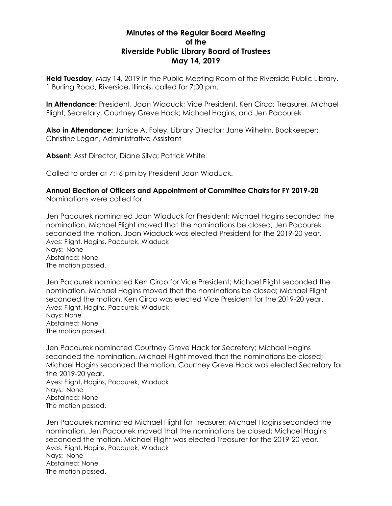# **Minutes of the Regular Board Meeting of the Riverside Public Library Board of Trustees May 14, 2019**

**Held Tuesday**, May 14, 2019 in the Public Meeting Room of the Riverside Public Library, 1 Burling Road, Riverside, Illinois, called for 7:00 pm.

**In Attendance:** President, Joan Wiaduck; Vice President, Ken Circo; Treasurer, Michael Flight; Secretary, Courtney Greve Hack; Michael Hagins, and Jen Pacourek

**Also in Attendance:** Janice A. Foley, Library Director; Jane Wilhelm, Bookkeeper; Christine Legan, Administrative Assistant

**Absent:** Asst Director, Diane Silva; Patrick White

Called to order at 7:16 pm by President Joan Wiaduck.

**Annual Election of Officers and Appointment of Committee Chairs for FY 2019-20** Nominations were called for:

Jen Pacourek nominated Joan Wiaduck for President; Michael Hagins seconded the nomination. Michael Flight moved that the nominations be closed; Jen Pacourek seconded the motion. Joan Wiaduck was elected President for the 2019-20 year. Ayes: Flight, Hagins, Pacourek, Wiaduck Nays: None Abstained: None The motion passed.

Jen Pacourek nominated Ken Circo for Vice President; Michael Flight seconded the nomination. Michael Hagins moved that the nominations be closed; Michael Flight seconded the motion. Ken Circo was elected Vice President for the 2019-20 year. Ayes: Flight, Hagins, Pacourek, Wiaduck Nays: None Abstained: None The motion passed.

Jen Pacourek nominated Courtney Greve Hack for Secretary; Michael Hagins seconded the nomination. Michael Flight moved that the nominations be closed; Michael Hagins seconded the motion. Courtney Greve Hack was elected Secretary for the 2019-20 year. Ayes: Flight, Hagins, Pacourek, Wiaduck Nays: None Abstained: None The motion passed.

Jen Pacourek nominated Michael Flight for Treasurer; Michael Hagins seconded the nomination. Jen Pacourek moved that the nominations be closed; Michael Hagins seconded the motion. Michael Flight was elected Treasurer for the 2019-20 year. Ayes: Flight, Hagins, Pacourek, Wiaduck Nays: None Abstained: None The motion passed.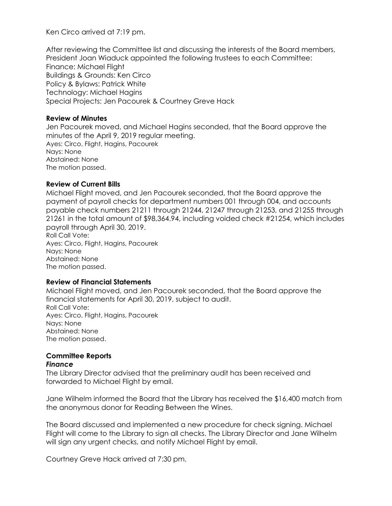Ken Circo arrived at 7:19 pm.

After reviewing the Committee list and discussing the interests of the Board members, President Joan Wiaduck appointed the following trustees to each Committee: Finance: Michael Flight Buildings & Grounds: Ken Circo Policy & Bylaws: Patrick White Technology: Michael Hagins Special Projects: Jen Pacourek & Courtney Greve Hack

# **Review of Minutes**

Jen Pacourek moved, and Michael Hagins seconded, that the Board approve the minutes of the April 9, 2019 regular meeting. Ayes: Circo, Flight, Hagins, Pacourek Nays: None Abstained: None The motion passed.

#### **Review of Current Bills**

Michael Flight moved, and Jen Pacourek seconded, that the Board approve the payment of payroll checks for department numbers 001 through 004, and accounts payable check numbers 21211 through 21244, 21247 through 21253, and 21255 through 21261 in the total amount of \$98,364.94, including voided check #21254, which includes payroll through April 30, 2019.

Roll Call Vote: Ayes: Circo, Flight, Hagins, Pacourek Nays: None Abstained: None The motion passed.

#### **Review of Financial Statements**

Michael Flight moved, and Jen Pacourek seconded, that the Board approve the financial statements for April 30, 2019, subject to audit. Roll Call Vote: Ayes: Circo, Flight, Hagins, Pacourek Nays: None Abstained: None The motion passed.

#### **Committee Reports** *Finance*

The Library Director advised that the preliminary audit has been received and forwarded to Michael Flight by email.

Jane Wilhelm informed the Board that the Library has received the \$16,400 match from the anonymous donor for Reading Between the Wines.

The Board discussed and implemented a new procedure for check signing. Michael Flight will come to the Library to sign all checks. The Library Director and Jane Wilhelm will sign any urgent checks, and notify Michael Flight by email.

Courtney Greve Hack arrived at 7:30 pm.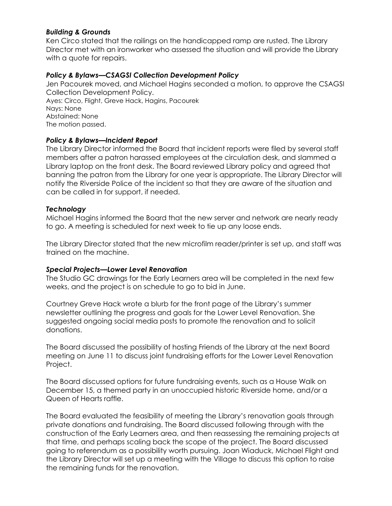# *Building & Grounds*

Ken Circo stated that the railings on the handicapped ramp are rusted. The Library Director met with an ironworker who assessed the situation and will provide the Library with a quote for repairs.

# *Policy & Bylaws—CSAGSI Collection Development Policy*

Jen Pacourek moved, and Michael Hagins seconded a motion, to approve the CSAGSI Collection Development Policy. Ayes: Circo, Flight, Greve Hack, Hagins, Pacourek Nays: None Abstained: None The motion passed.

# *Policy & Bylaws—Incident Report*

The Library Director informed the Board that incident reports were filed by several staff members after a patron harassed employees at the circulation desk, and slammed a Library laptop on the front desk. The Board reviewed Library policy and agreed that banning the patron from the Library for one year is appropriate. The Library Director will notify the Riverside Police of the incident so that they are aware of the situation and can be called in for support, if needed.

# *Technology*

Michael Hagins informed the Board that the new server and network are nearly ready to go. A meeting is scheduled for next week to tie up any loose ends.

The Library Director stated that the new microfilm reader/printer is set up, and staff was trained on the machine.

#### *Special Projects—Lower Level Renovation*

The Studio GC drawings for the Early Learners area will be completed in the next few weeks, and the project is on schedule to go to bid in June.

Courtney Greve Hack wrote a blurb for the front page of the Library's summer newsletter outlining the progress and goals for the Lower Level Renovation. She suggested ongoing social media posts to promote the renovation and to solicit donations.

The Board discussed the possibility of hosting Friends of the Library at the next Board meeting on June 11 to discuss joint fundraising efforts for the Lower Level Renovation Project.

The Board discussed options for future fundraising events, such as a House Walk on December 15, a themed party in an unoccupied historic Riverside home, and/or a Queen of Hearts raffle.

The Board evaluated the feasibility of meeting the Library's renovation goals through private donations and fundraising. The Board discussed following through with the construction of the Early Learners area, and then reassessing the remaining projects at that time, and perhaps scaling back the scope of the project. The Board discussed going to referendum as a possibility worth pursuing. Joan Wiaduck, Michael Flight and the Library Director will set up a meeting with the Village to discuss this option to raise the remaining funds for the renovation.